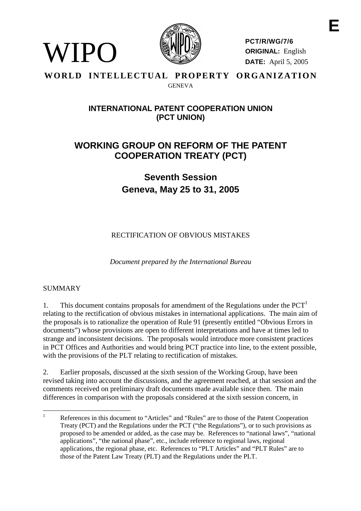

**PCT/R/WG/7/6 ORIGINAL:** English **DATE:** April 5, 2005

### **WORLD INTELLECTUAL PROPERTY ORGANIZATION** GENEVA

### **INTERNATIONALPATENT COOPERATIONUNION (PCT UNION)**

# **WORKING GROUP ON REF ORM OF THE PATENT COOPERATION TREATY ( PCT)**

**Seventh Session Geneva, Ma y 25 to 31, 2005**

RECTIFICATION OF OBV IOUS MISTAKES

*Document prepared by the International Bureau*

### **SUMMARY**

WIPO

1. This document contains proposals for amendment of the Regulations under the PCT  $1$ relating to the rectification of obvious mi stakes in international applications. The main aim of the proposals is to rationalize the operation of Rule 91 (presently entitled "Obvious Errors in documents") whose provisions are open to different interpretations and have at times led to strange and i nconsistent decisions. The proposals would introduce more consistent practices in PCT Offices and Authorities and would bring PCT practice into line, to the extent possible, with the provisions of the PLT relating to rectification of mistakes.

2. Earlier proposals, discussed at the sixths ession of the Working Group, have been revised taking into account the discussions, and the agreement reached, at that session and the comments received on preliminary draft documents made availab lesince then. The main differences in comparison with the proposals considered at the sixthsession concern, in

References in this document to "Articles" and "Rules" are to those of the Patent Cooperat ion Treaty (PCT) and the Regulations under the PCT ("the Regulations"), or to such provisions as proposed to be amended or added, as the case may be. References to "national laws", "national applications", "the national phase", etc., include reference to regional laws, regional applications, the regional phase, etc. References to "PLT Articles" and "PLT Rules" are to those of the Patent Law Treaty (PLT) and the Regulations under the PLT.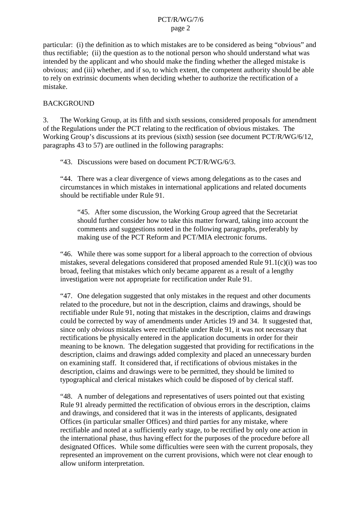#### PCT/R/WG/7/6 page 2

particular: (i) the definition as to which mistakes are to be considered as being "obvious" and thus rectifiable; (ii) the question as to the enotional person who should understand what was intended by the applicant and who should make the finding whether the alleged mistake is obvious; and (iii) whether, and if so, to which extent, the competent authority should be able torely on extrinsic d ocuments when deciding whether to authorize the rectification of a mistake.

### **BACKGROUND**

3. The Working Group, at its fifth and sixth sessions, considered proposals for a mendment of the Regulations under the PCT relating to the rectification of obvious mistakes. The Working Group's discussions at its previous (sixth) session (seed ocument PCT/R/WG/6/12, paragraphs 43 to 57) are outlined in the following paragraphs:

"43. Discussions were based on document PCT/R/WG/6/3.

"44. Therew as a clear divergence of views among delegations as to the cases and circumstances in which mistakes in international applications and related documents should be rectifiable under Rule 91.

"45. After some discussion, the Working Group agreed that the Sec retariat should further consider how to take this matter forward, taking into account the comments and suggestions noted in the following paragraphs, preferably by making use of the PCTReform and PCT/MIA electronic forums.

"46. While there was some suppo rtfor aliberal approach to the correction of obvious mistakes, several delegations considered that proposed amended Rule  $91.1(c)(i)$  was too broad, feeling that mistakes which only became apparent as a result of a lengthy investigation were not appropriat efor rectification under Rule 91.

"47. One delegation suggested that only mistakes in the request and other documents related to the procedure, but not in the description, claims and drawings, should be rectifiable under Rule 91, noting that mistakes in the description, claims and drawings could be corrected by way of amendments under Articles 19 and 34. It suggested that, since only *obvious* mistakes we rerectifiable under Rule 91, it was not necessary that rectifications be physically entered in the app lication documents in order for their meaning to be known. The delegation suggested that providing for rectifications in the description, claims and drawings added complexity and placed an unnecessary burden on examining staff. It considered that, if rec tifications of obvious mistakes in the description, claims and drawings were to be permitted, they should be limited to typographical and clerical mistakes which could be disposed of by clerical staff.

"48. Anumber of delegations and representatives of u sers pointed out that existing Rule 91 already permitted the rectification of obvious errors in the description, claims and drawings, and considered that it was in the interests of applicants, designated Offices (in particular smaller Offices) and third parties for any mistake, where rectifiable and noted at a sufficiently early stage, to be rectified by only one action in the international phase, thus having effect for the purposes of the procedure before all designated Offices. While some difficulties we reseen with the current proposals, they represented an improvement on the current provisions, which we renot clear enough to allow uniform interpretation.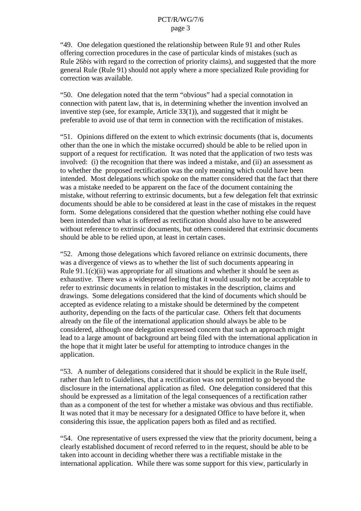"49. One delegation questioned the relationship between Rule 91 and other Rules offering correction procedures in the case of particular kinds of mistakes (such as Rule 26*bis* with regard to the correction of priority claims), and suggested that the more general Rule (Rule 91) should not apply where a more specialized Rule providing for correction was available.

"50. One delegation noted that the term "obvious" had a special connotation in connection with patent law, that is, indetermining whether the invention involved an  $inventiveste p (see, for example, Article 33(1)), and suggested that it might be$ preferable to avoid use of that term in connection with the rectification of mistakes.

"51. Opinions differed on the extent to which extrinsic documents (that is, documents other than the one in which the mistake occurred) should be able to be relied upon in support of a request for rectification. It was noted that the application of two tests was involved: (i) the recognition that the rewas indeed a mistake, and (ii) an assessment as to whether the proposed rectification was the only meaning which could have been intended. Most delegations which spoke on the matter considered that the fact that there was a mistake needed to be apparent on the face of the document containing the mistake, without referring to extrinsic documents, but a few delegation felt that extrinsic documents should be able to be considered at least in the case of mistakes in the request form. Some delegations considered that the question whether nothing else could have been intended than what is offered as rectification should also h ave to be answered without reference to extrinsic documents, but others considered that extrinsic documents should be able to be relied upon, at least incertain cases.

"52. Among those delegations which favored reliance on extrinsic documents, there was adivergence of views as to whether the list of such documents appearing in Rule  $91.1(c)(ii) was appropriate for all situations and whether it should be seen as$ exhaustive. There was a widespread feeling that it would usually not be acceptable to referto extrinsic documents in relation to mistakes in the description, claims and drawings. Some delegations considered that the kind of documents which should be accepted as evidence relating to a mistake should be determined by the competent authority, depend ingonthe facts of the particular case. Others felt that documents already on the file of the international applications hould always be able to be considered, although one delegation expressed concern that such an approach might lead to a large amount o f background art being filed with the international application in the hope that it might later be useful for attempting to introduce changes in the application.

"53. Anumber of delegations considered that its hould be explicit in the Rule itself, rather than left to Guidelines, that are ctification was not permitted to go beyond the disclosure in the international application as filed. One delegation considered that this should be expressed as a limitation of the legal consequences of a rectification ra ther than as a component of the test for whether a mistake was obvious and thus rectifiable. It was noted that it may be necessary for a designated Office to have before it, when considering this issue, the application papers both as filed and as rectifie d.

"54. Onerepresentative of users expressed the view that the priority document, being a clearly established document of record referred to in the request, should be able to be taken into account indeciding whether there was a rectifiable mistake in the international application. While there was some support for this view, particularly in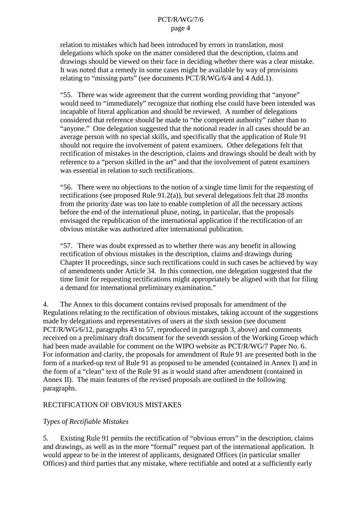#### PCT/R/WG/7/6 page 4

relation to mistakes which had been introduced by errors in translation, most delegations which spoke on the matter considered that the description, claims and drawings should be viewed on their face indeciding whether there was a clear mistake. It was noted that a remedy in some cases might be available by way of provisions relating to "missing parts" (seed ocuments PCT/R/WG/6/4 and 4 Add.1).

"55. Therewas wide ag reement that the current wording providing that "anyone" would need to "immediately" recognize that nothing else could have been intended was incapable of literal application and should be reviewed. A number of delegations considered that reference should be made to "the competent authority" rather than to "anyone." One delegation suggested that the notional reader in all cases should be an average person with no special skills, and specifically that the application of Rule 91 should not require the involvement of patent examiners. Other delegations felt that rectification of mistakes in the description, claims and drawings should be dealt with by referencetoa" personskilled in the art" and that the involvement of patent examiners was essential in relation tion to such rectifications.

"56. Therewere no objections to the notion of a single time limit for the requesting of rectifications (see proposed Rule  $91.2(a)$ ), but several delegations felt that  $28$  months from the priority date was too late to enable com pletion of all the necessary actions before the end of the international phase, noting, in particular, that the proposals envisaged the republication of the international application if the rectification of an obvious mistake was authorized after internati onal publication.

"57. Therewasdoubtexpressedastowhethertherewasanybenefitinallowing rectification of obvious mistakes in the description, claims and drawings during Chapter II proceedings, since such rectifications could in such cases be achi eved by way of amendments under Article 34. In this connection, one delegations uggested that the time limit for requesting rectifications might appropriately be aligned with that for filing a demand for international preliminary examination."

4. The Annex to this document contains revised proposals for a mendment of the Regulations relating to the rectification of obvious mistakes, taking account of the suggestions made by delegations and representatives of users at the sixth sessi on (see document PCT/R/WG/6/12, paragraphs 43to 57, reproduced in paragraph 3, above) and comments received on a preliminary draft document for the seventh session of the Working Group which had been made availa ble for comment on the WIPO website as PCT/R/WG/7 Paper No.6. For information and clarity, the proposals for amendment of Rule 91 are presented both in the form of a marked -up text of Rule 91 as proposed to be a mended (contained in Annex Dandin the fo rm of a "clean" text of the Rule 91 as it would stand after amendment (contained in Annex II). The main features of the revised proposals are outlined in the following paragraphs.

#### RECTIFICATION OF OBVIOUS MISTAKES

#### *Types of Rectifiable Mistakes*

5. Existing Rule 91 permits the rectification of "obvious errors" in the description, claims and drawings, as well as in the more "formal" request part of the international application. It would appear to be in the interest of applicants, designated Offices (in particular smaller Offices) and third parties that any mistake, where rectifiable and noted at a sufficiently early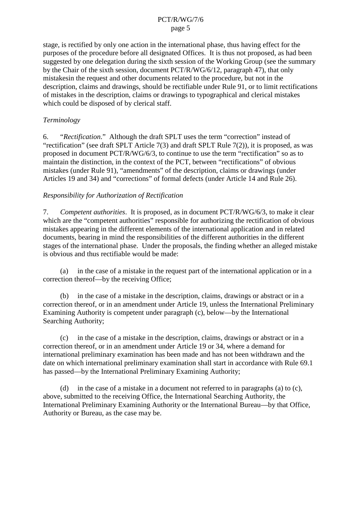#### PCT/R/WG/7/6 page 5

stage, is rectified by only one action in the international phase, thus having effect for the purposes of the procedu rebefore all designated Offices. It is thus not proposed, as had been suggested by one delegation during the sixth session of the Working Group (see the summary by the Chair of the sixth session, document PCT/R/WG/6/12, paragraph 47), that only mistakes in the request and other documents related to the procedure, but not in the description, claims and drawings, should be rectifiable under Rule 91, or to limit rectifications of mistakes in the description, claims or drawings to typographical and clerical m istakes which could be disposed of by clerical staff.

#### *Terminology*

6. "*Rectification*." Although the draft SPL Tuses the term "correction" instead of "rectification" (seedraft SPLT Article 7(3) and draft SPLT Rule 7(2)), it is provided, as was proposed indocument PCT/R/WG/6/3, to continue to use the term "rectification" so as to maintain the distinction, in the context of the PCT, between "rectifications" of obvious mistakes (under Rule 91), "amendments" of the description, claims ordrawings (under Articles 19 and 34) and "corrections" of formal defects (under Article 14 and Rule 26).

#### *Responsibility for Authorization of Rectification*

7. *Competent authorities* . It is proposed, as indocument PCT/R/WG/6/3, to make it clear which are the "competent authorities" responsible for authorizing the rectification of obvious mistakes appearing in the different elements of the international application and in related documents, bearing in mind the responsibilities of the different authorities in the different stages of the international phase. Under the proposals, the finding whether analleged mistake is obvious and thus rectifiable would be made:

(a) in the case of a mistake in the request pa rtof the international application or in a correction thereof —by the receiving Office;

(b) in the case of a mistake in the description, claims, drawings or abstract or in a correction thereof, orinanamendment under Article 19, unless the International Preliminary Examining Authority is competent under paragraph  $(c)$ , below —by the International Searching Authority;

(c) in the case of a mistake in the description, claims, drawings or abstract or in a correction thereof, orinanamendment under Article 19 or 34, where a demand for international preliminary examination has been made and has not been withdrawn and the date on which international preliminary examinations hall start in accordance with Rule 69.1 has passed —by the International Preliminary Examining Authority;

(d) in the case of a mistake inadocument not referred to inparagraphs (a) to (c), above.submitted to the receiving Office, the International Searching Authority, the International Preliminary Examining Authority or the International Bureau —by that Office, Authority or Bureau, as the case may be.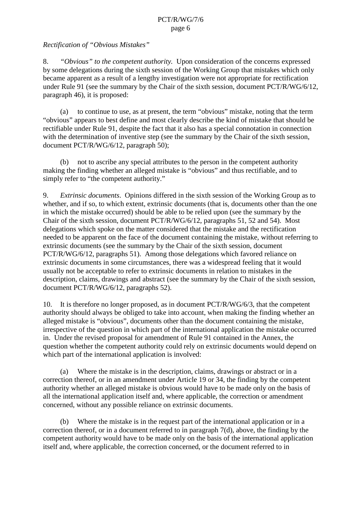#### *Rectification of "Obvious Mistakes"*

8. *"Obvious" to the competent authority*. Upon consideration of the concerns expressed by some delegations during the sixth session of the Working Group that mistakes which only became apparent as a result of a lengthy investigation were not appropriate for rectification under Rule 91 (see the summary by the Chair o fthe sixth session, document PCT/R/WG/6/12, paragraph 46), it is proposed:

(a) to continue to use, as at present, the term "obvious" mistake, noting that the term "obvious" appears to best define and most clearly describe the kind of mistake that should be rectifiable under Rule 91, despite the fact that it also has a special connotation in connection with the determination of inventive step (see the summary by the Chair of the sixth session, document PCT/R/WG/6/12, paragraph 50);

(b) notto ascribe any special attributes to the person in the competent authority making the finding whether an alleged mistake is "obvious" and thus rectifiable, and to simply refer to "the competent authority."

9. *Extrinsic documents* . Opinions differed in the sixth session of the Working Group as to whether, and if so, to which extent, extrinsic documents (that is, documents other than the one in which the mistake occurred) should be able to be relied upon (see the summary by the Chair of the sixth session, document PCT/R/WG/6/12, paragraphs 51, 52 and 54). Most delegations which spoke on the matter considered that the mistake and the rectification needed to be apparent on the face of the document containi ng the mistake, without referring to extrinsic documents (see the summary by the Chair of the sixthsession, document PCT/R/WG/6/12, paragraphs 51). Among those delegations which favored reliance on extrinsic documents in some circumstances, there was a w idespread feeling that it would usually not be acceptable to refer to extrinsic documents in relation to mistakes in the description, claims, drawings and abstract (see the summary by the Chair of the sixth session, document PCT/R/WG/6/12, paragraphs 52).

10. It is the refore no longer proposed, as indocument PCT/R/WG/6/3, that the competent authority should always be obliged to take into account, when making the finding whether an alleged mistake is "obvious", documents other than the document containing the mistake, irrespective of the question in which part of the international application the mistake occurred in. Under the revised proposal for amendment of Rule 91 contained in the Annex, the question whether the competent authority could rely on extrinsic documents would depend on which part of the international application is involved:

(a) Where the mistake is in the description, claims, drawings or abstract or in a correction thereof, or in an amendment under Article 19 or 34, the finding by the competent authority whether an alleged mistake is obvious would have to be made only on the basis of all the international application itself and, where applicable, the correction or amendment concerned, without any possible reliance on extrinsic documents.

(b) Where the mistake is in the request part of the international application or in a  $correction thereof, or in a document referred to in paragraph$   $7(d)$ , above, the finding by the competent authority would have to be made only on the basis of the international application itselfand, where applicable, the correction concerned, or the document referred to in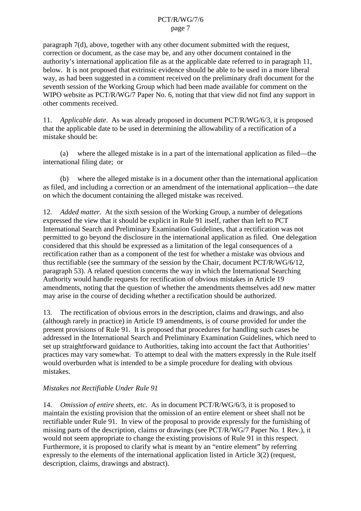#### PCT/R/WG/7/6 page 7

paragraph 7(d), above, together with any other documents ubmitted with the request, correction or document, as the case may be, and any other document contained in the authority's international application files at the applicable date referred to inparagraph 11, below. It is not proposed that extrinsic evidences hould be able to be used in a more liberal way, as had been suggested in a comment received on the preliminary draft document for the seventh session of the Working Group which had been made available for comment on the WIPO website as PCT/R/WG/7Paper No.6, noting that that view didnot find any support in other comments received.

11. *Applicabledate* .Aswasalreadypr oposedindocument PCT/R/WG/6/3, it is proposed that the applicable date to be used indetermining the allowability of a rectification of a mistake should be:

(a) where the alleged mistake is in a part of the international application as filed —the international filing date; or

(b) where the alleged mistake is inadocument other than the international application as filed, and including a correction or an amendment of the international application —the date on which the document containing the alleged mistake was received.

12. *Added matter.* At the sixtheses isomof the Working Group, any method delegations expressed the view that its hould be explicit in Rule 91 itself, rather than left to PCT International Search and Preliminary Examination Guidelines, that are ctification was not permitted to go beyond the disclosure in the international applications filed. One delegation considered that this should be expressed as a limitation of the legal consequences of a rectification rather than as a component of the test for whether a mistake was obvious and thus rectifiable (see the summary of the session by the Chair, document PCT/R/WG/6/12, paragraph 53). A related question concerns the way in which the International Searching Authority would handle requests for rectification of obvious mistakes in Article 19 amendments, noting that the question of whether the amendments themselves add new matter may arise in the course of deciding whether a rectification should be authorized.

13. The rectification of obvious errors in the description, claims and drawings, and also (although rarely in practice) in Article 19 amendments, is of course provided for under the present provis ions of Rule 91. It is proposed that procedures for handling such cases be addressed in the International Search and Preliminary Examination Guidelines, which need to set up straightforward guidance to Authorities, taking into account the fact that Author ities' practices may vary somewhat. To attempt to deal with the matters expressly in the Rule itself would overburden what is intended to be a simple procedure for dealing with obvious mistakes.

### *Mistakes not Rectifiable Under Rule 91*

14. *Omission of entiresheets, etc.* Asindocument PCT/R/WG/6/3, it is proposed to maintain the existing provision that the omission of an entire element or sheets hall not be rectifiable under Rule 91. Inview of the proposal to provide expressly fo rthe furnishing of missing parts of the description, claims or drawings (see PCT/R/WG/7 Paper No. 1 Rev.), it would not seem appropriate to change the existing provisions of Rule 91 in this respect. Furthermore, it is proposed to clarify what is meant by an "entire element" by referring expressly to the elements of the international application listed in Article 3(2) (request, description, claims, drawings and abstract).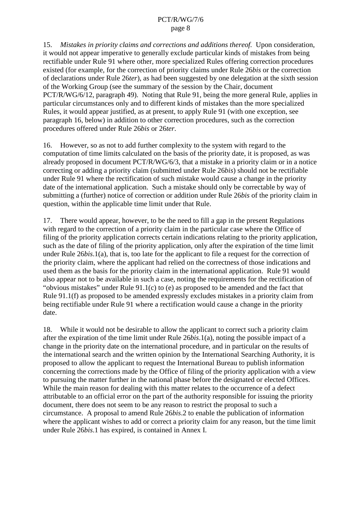15. *Mistakesinpriority claims and corrections and additions* thereof. Upon consideration, it would not appear imperative to generally exclude particular kinds of mistakes from being rectifiable under Rule 91 where other, more specialized Rules offering correction procedures existed (for example, for the correction of priority claims under Rule 26*bis* or the correction of declarations under Rule 26*ter*), as had been suggested by one delegation at the sixth session of the Working Group (see the summary of the session by the Chair, document PCT/R/WG/6/12, paragraph 49). Noting that Rule 91, being the more general Rule, applies in particular circumstances only and to different kinds of mistakes than the more specialized Rules, it would appear justified, as a three sent, to apply Rule 91 (with one exception, see paragraph 16, below) in addition to other correction procedures, such as the correction procedures offered under Rule 26*bis* or 26 *ter*.

16. However, so as not to add further complexity to the system wit hree parallel to the system with the system with  $\sim$ computation of time limits calculated on the basis of the priority date, it is proposed, as was already proposed indocument PCT/R/WG/6/3, that a mistake in a priority claim or in anotice correcting or adding a priority claim (submitted un der Rule 26*bis*) should not be rectifiable under Rule 91 where the rectification of such mistake would cause a change in the priority date of the international application. Such a mistakes hould only be correctable by way of submitting a (further) notice o f correction or addition under Rule 26 *bis* of the priority claim in question, within the applicable time limit under that Rule.

17. There would appear, however, to be the need to fill a gap in the present Regulations with regard to the correction of a priority claim in the particular case where the Office of filing of the priority application corrects certain indications relating to the priority application, such as the date of filing of the priority application, only after the expira tion of the time limit underRule 26*bis*.1(a), that is, too late for the applicant to file are quest for the correction of the priority claim, where the applicant had relied on the correctness of those indications and used the mas the basis for the priority claim in the international application. Rule 91 would also appear not to be available in such a case, noting the requirements for the rectification of "obvious mistakes" under Rule  $91.1(c)$  to (e) as proposed to be amended and the fact that Rule 91.1(f) a sproposed to be amended expressive x cludes mistakes in a priority claim from being rectifiable under Rule 91 where a rectification would cause a change in the priority date.

18. While it would not be desirable to allow the applican trocorrect such a priority claim after the expiration of the time limit under Rule 26*bis*. 1(a), noting the possible impact of a change in the priority date on the international procedure, and in particular on the results of the international search and the ewritten opinion by the International Searching Authority, it is proposed to allow the applicant to request the International Bureau to publish information concerning the corrections made by the Office of filing of the priority application with a view to pursuing the matter further in the national phase before the designated or elected Offices. While the main reason for dealing with this matter relates to the occurrence of a defect attributable to an official error on the part of the authority responsible for issuing the priority document, there does not seem to be any reason to restrict the proposal to such a circumstance. A proposal to amend Rule 26*bis*.2 to enable the publication of information where the applicant wishesto add or correct a priority cla im for any reason, but the time limit underRule26 *bis*.1 has expired, is contained in Annex I.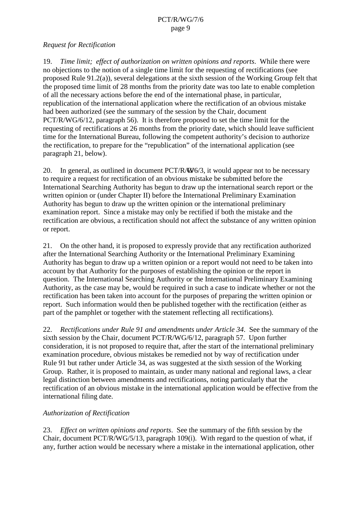### *Request for Rectification*

19. *Time limit; effect of authorization on written opinions and reports* . While there were no objections to the notion of a single time limit for the requesting of rectifications (see proposed Rule  $91.2(a)$ ), several delegations at the sixth session of the Working Group felt that the proposed time limit of 28 months from the priority date was too late to enable completion of all the necessary actions before the end of the international phase, in particular, republication of the international application where the rectification of an obvious mistake had been authorized (see the summary of the session by the Chair, d ocument PCT/R/WG/6/12, paragraph 56). It is therefore proposed to set the time limit for the requesting of rectifications at 26 months from the priority date, which should leave sufficient time for the International Bureau, following the competent authori ty's decision to authorize the rectification, to prepare for the "republication" of the international application (see paragraph 21, below).

20. Ingeneral, as outlined indocument PCT/R/W/6/3, it would appear not to be necessary to require a request for rectification of an obvious mistake be submitted before the International Searching Authority has begun to draw up the international search report or the written opinion or (under Chapter II) before the International Preliminary Examination Authority has begun to draw up the written opinion or the international preliminary examination report. Since a mistake may only be rectified if both the mistake and the rectification are obvious, arec tification should not affect the substance of any written opinion orreport.

21. On the other hand, it is proposed to expressly provided that any rectification authorized after the International Searching Authority or the Internation al Preliminary Examining Authority has begun to draw up a written opinion or a report would not need to be taken into account by that Authority for the purposes of establishing the opinion or the report in question. The International Searching Authority o rthe International Preliminary Examining Authority, as the case may be, would be required in such a case to indicate whether or not the rectification has been taken into account for the purposes of preparing the written opinion or report. Such informatio nwould then be published to gether with the rectification (either as part of the pamphlet ortogether with the statement reflecting all rectifications).

22. *Rectifications under Rule 91 and amendments under Article 34* . See the summ ary of the sixth session by the Chair, document PCT/R/WG/6/12, paragraph 57. Upon further consideration, it is not proposed to require that, after the start of the international preliminary examination procedure, obvious mistakes be remedied not by way of rectification under Rule 91 but rather under Article 34, as was suggested at the sixth session of the Working Group. Rather, it is proposed to maintain, as under many national and regional laws, a clear legal distinction between amendments and rectificat ions, noting particularly that the rectification of an obvious mistake in the international application would be effective from the international filing date.

### *Authorization of Rectification*

23. *Effectonwritten opinions and report s*. See the summary of the fifth session by the Chair, document PCT/R/WG/5/13, paragraph 109(i). With regard to the question of what, if any, further action would be necessary where a mistake in the international application, other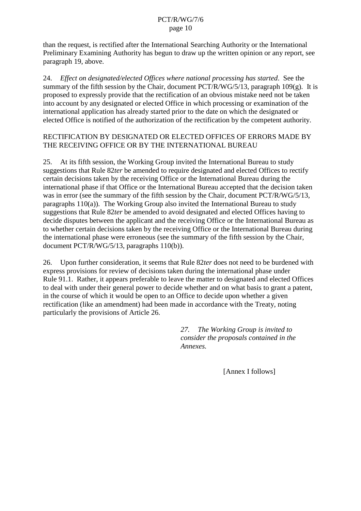than the request, is r ectified after the International Searching Authority or the International Preliminary Examining Authority has begun to draw up the written opinion or any report, see paragraph 19, above.

24. *Effectondesignated/elected Offices where national processing has started* . See the summary of the fifth session by the Chair, document PCT/R/WG/5/13, paragraph  $109(g)$ . It is proposed to expressly provide that the rectification of an obvious mistake n eed not be taken into account by any designated or elected Office in which processing or examination of the international application has already started prior to the date on which the designated or elected Office is notified of the authorization of the re-ctification by the competent authority.

#### RECTIFICATION BY DESIGNATED OR ELECTED OF FICES OF ERRORSMADE BY THERECEIVING OF FICE OR BY THE INTERNATIONAL BUREAU

25. At its fifth session, the Working Group invited the International Bure auto study suggestions that Rule 82*ter* beamended to require designated and elected Offices to rectify certain decisions taken by the receiving Office or the International Bureau during the international phase if that Office or the International Bureau ac cepted that the decision taken was in error (see the summary of the fifth session by the Chair, document PCT/R/WG/5/13, paragraphs  $110(a)$ ). The Working Group also invited the International Bureau to study suggestions that Rule 82*ter* beamended to avoid de signated and elected Offices having to decidedisputes between the applicant and the receiving Office or the International Bureau as to whether certain decisions taken by the receiving Office or the International Bureau during the international phase were erroneous (see the summary of the fifth session by the Chair, document PCT/R/WG/5/13, paragraphs 110(b)).

26. Uponfurther consideration, it seems that Rule 82*ter* does not need to be burdened with express provisions for review of de cisions taken during the international phase under Rule 91.1. Rather, it appears preferable to leave the matter to designated and elected Offices to deal with under their general power to decide whether and on what basis to grant a patent, in the course o fwhich it would be open to an Office to decide upon whether agiven rectification (like an amendment) had been made in accordance with the Treaty, noting particularly the provisions of Article 26.

> 27. *The Working Group is invited to consider the proposals contained in the Annexes.*

> > [Annex Ifollows]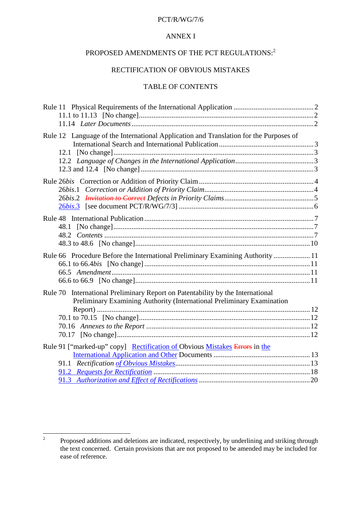#### PCT/R/WG/7/6

#### **ANNEXI**

### PROPOSED AMENDMENTS OF THE PCT REGULATIONS: <sup>2</sup>

#### RECTIFICATION OF OBVIOUS MISTAKES

#### TABLEOF CONTENTS

| Rule12LanguageoftheInternationalApplicationandTranslation forthePurposesof                                                                                                                       |  |
|--------------------------------------------------------------------------------------------------------------------------------------------------------------------------------------------------|--|
|                                                                                                                                                                                                  |  |
|                                                                                                                                                                                                  |  |
|                                                                                                                                                                                                  |  |
|                                                                                                                                                                                                  |  |
|                                                                                                                                                                                                  |  |
|                                                                                                                                                                                                  |  |
|                                                                                                                                                                                                  |  |
|                                                                                                                                                                                                  |  |
| Rule48InternationalPublication                                                                                                                                                                   |  |
|                                                                                                                                                                                                  |  |
|                                                                                                                                                                                                  |  |
|                                                                                                                                                                                                  |  |
| Rule66ProcedureBeforetheInternationalPreliminaryExaminingAuthority manufactureBeforetheInternationalPreliminaryExaminingAuthority manufactureBeforetheInternationalPreliminaryExaminingAuthority |  |
|                                                                                                                                                                                                  |  |
|                                                                                                                                                                                                  |  |
|                                                                                                                                                                                                  |  |
| Rule70InternationalPreliminaryReportonPatentabilitybytheInternational                                                                                                                            |  |
| PreliminaryExaminingAuthority(InternationalPreli minaryExamination                                                                                                                               |  |
|                                                                                                                                                                                                  |  |
|                                                                                                                                                                                                  |  |
|                                                                                                                                                                                                  |  |
|                                                                                                                                                                                                  |  |
| Rule91["marked -up"copy] Rectificationof Obvious Mistakes Errorsin the                                                                                                                           |  |
|                                                                                                                                                                                                  |  |
|                                                                                                                                                                                                  |  |
|                                                                                                                                                                                                  |  |
|                                                                                                                                                                                                  |  |

<sup>&</sup>lt;sup>2</sup> Proposed additions and deletions are indicated, respectively, by underlining and striking through the text concerned. Certain provisions that are not proposed to be amended may be included for ease of reference.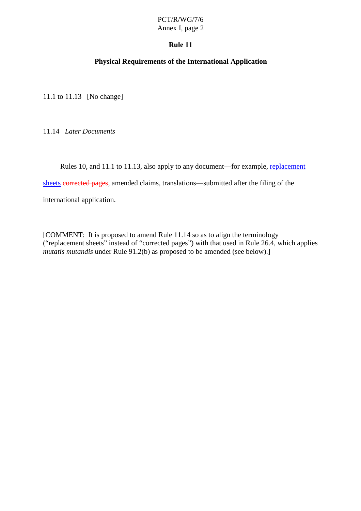### **Rule 11**

#### **Physical Requirements of the International Application**

11.1to 11.13 [No change]

11.14 *Later Documents*

Rules 10, and 11.1 to 11.13, a lso apply to any document —for example, replacement sheets corrected pages, amended claims, translations —submitted after the filing of the international application.

[COMMENT:Itisproposed to amend Rule 11.14 so as to align the terminology ("replacement sheets" instead of "corrected pages") with that used in Rule 26.4, which applies *mutatis mutandis* under Rule 91.2(b) as proposed to be amended (see below).]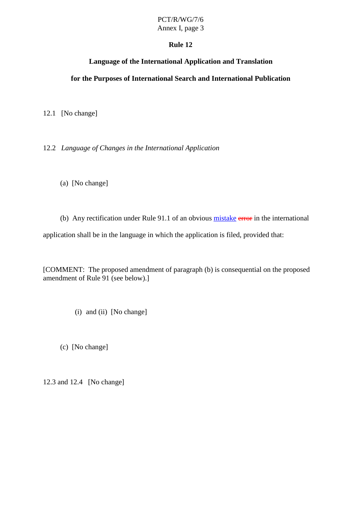# PCT/R/WG/7/6

Annex I, page 3

### **Rule 12**

### **Language of the International Application and Translation**

**for the Purposes of Internation al Search and International Publication**

12.1 [Nochange]

12.2 *Language of Changes in the International Application*

(a) [Nochange]

(b) Any rectification under Rule 91.1 of an obvious mistake error in the international applicationshall bein the la nguage in which the application is filed, provided that:

[COMMENT:The proposed amendment of paragraph (b) is consequential on the proposed amendment of Rule 91 (see below).]

(i) and (ii) [No change]

(c) [Nochange]

12.3 and  $12.4$  [No change]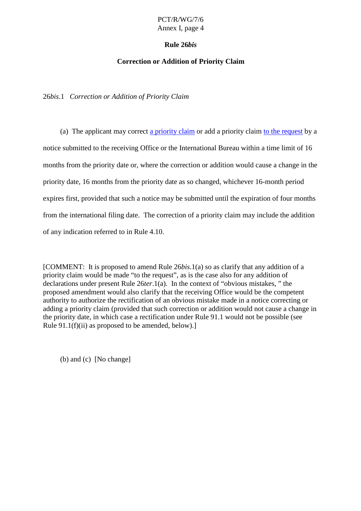#### **Rule 26** *bis*

#### **Correction or Addition of Priority Claim**

26*bis*.1 *Correction or Addition of Priority Claim*

(a) The applicant may correct a priority claim or add a priority claim to the request by a notice submitted to the receiving Office or the International Bur eau within a time limit of 16 months from the priority date or, where the correction or addition would cause a change in the priority date, 16 months from the priority date as sochanged, whichever 16 -month period expires first, provided that such a notice may be submitted until the expiration of four months from the international filing date. The correction of a priority claim may include the addition of any indication referred to in Rule 4.10.

[COMMENT: It is proposed to amend Rule 26 *bis*.1(a) so as clar ify that any addition of a priority claim would be made "to the request", as is the case also for any addition of declarations under present Rule 26*ter*. 1(a). In the context of "obvious mistakes," the proposed amendment would also clarify that the receivi ng Office would be the competent authority to authorize the rectification of an obvious mistake made in anotice correcting or adding a priority claim (provided that such correction or addition would not cause a change in the priority date, in which case a rectification under Rule 91.1 would not be possible (see Rule 91.1(f)(ii) as proposed to be amended, below).

 $(b)$  and  $(c)$  [No change]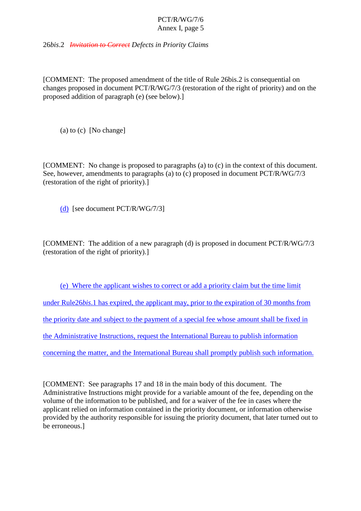26*bis*.2 *Invitationto Correct - Defectsin Priority Claims* 

[COMMENT: The proposed amendment of the title of Rule 26bis.2 is consequential on changes proposed indocument PCT/R/WG/7/3 (restoration of the right of priority) and on the  $proposed addition of paragraph (e) (see below).$ ]

(a)  $to (c)$  [No change]

 $[COMMENT: No change is proposed to paragraphs (a) to (c) in the context of this document.$ See, however, amendments to paragraphs (a) to (c) proposed indocument PCT/R/WG/7/3 (restoration of the right of priority).]

(d) [seedocument $PCT/R/WG/7/3$ ]

[COMMENT: The addition of a new paragraph (d) is proposed indocument PCT/R/WG/7/3 (restoration of the right of priority).]

(e) Where the applicant wishes to correct or add a priority claim but the time limit

under Rule 26 *bis*. 1 has expired, the applicant may, prior to the expiration of 30 months from

the priority date and s ubject to the payment of a special fee whose amount shall be fixed in

the Administrative Instructions, request the International Bureau to publish information

concerning the matter, and the International Bureau shall promptly publish such information.

[COMMENT:Seeparagraphs 17 and 18 in the main body of this document. The Administrative Instructions might provide for a variable amount of the fee, depending on the volume of the information to be published, and for a waiver of the fee incases where the applicant relied on information contained in the priority document, or information otherwise provided by the authority responsible for issuing the priority document, tha tlater turned out to be erroneous.<sup>1</sup>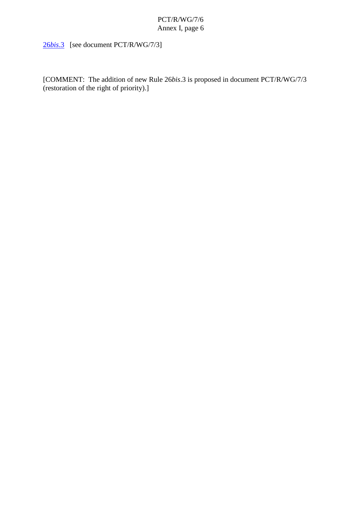26*bis*.3 [seedocumentPCT/R/WG/7/3]

(restoration of the right of priority).]

[COMMENT: The addition of new Rule 26*bis*.3 is proposed in document PCT/R/WG/7/3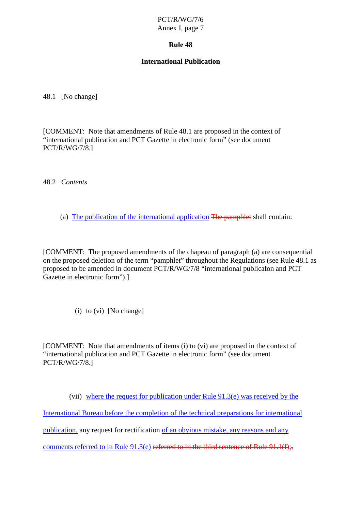### **Rule 48**

#### **International Publication**

48.1 [Nochange]

[COMMENT: Note that amendments of Rule 48.1 are proposed in the context of "international publication and PCT Gazette in electronic form" (seed ocument PCT/R/WG/7/8.]

48.2 *Contents*

(a) The publication of the international application The pamphlet shall contain:

[COMMENT: The proposed amendments of the chapeau of paragraph (a) are consequential on the proposed deletion of the term "pamphlet" throughout the Regulations (see Rule 48.1 as proposed to be amended indocument PCT/R/WG/7/8 "international publication and PCT Gazetteinelectronic form").]

 $(i)$  to  $(vi)$  [No change]

[COMMENT: Note that amendments of items (i) to (vi) are proposed in the context of "international publication and PCT Gazette inelectronic form" (seed ocument PCT/R/WG/7/8.]

(vii) where the request for publication under Rule 91.3(e) was received by the International Bureau before the completion of the technical preparations for international publication, any request for rectification of an obvious mistake, any reasons and any comments r eferred to in Rule 91.3(e) referred to in the third sentence of Rule 91.1(f)  $\rightarrow$ ;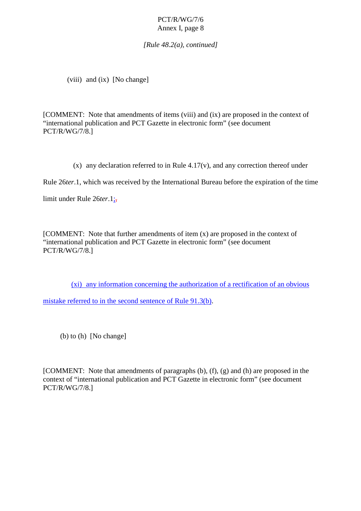*[Rule 48.2(a), continued]*

 $(viii)$  and  $(ix)$  [No change]

[COMMENT:Note that amendments of items (viii) and (ix) are proposed in the context of "international publication and PC TGazette inelectronic form" (seed ocument PCT/R/WG/7/8.]

 $(x)$  any declaration referred to in Rule 4.17(v), and any correction thereof under

Rule 26*ter*.1, which was received by the International Bureau before the expiration of the time

limit under Rule 26 *ter*.1;

 $[COMMENT:Noteth at further a mendments of item(x) are proposed in the context of$ "international publication and PCT Gazette in electronic form" (seed ocument PCT/R/WG/7/8.]

(xi) any information concerning the authorization of a rectification of another original values of an obvious

mistake referred to in the second sentence of Rule 91.3(b).

 $(b)$  to  $(h)$  [No change]

 $[COMMENT:Noteth at a mendments of paragraphs (b), (f), (g) and (h) are proposed in the$ context of "international publication and PCT Gazette in electronic form" (seed ocument PCT/R/WG/7/8.]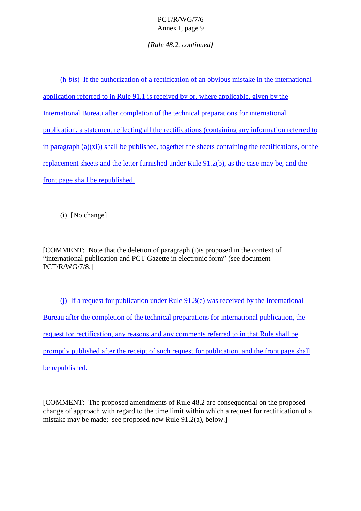*[Rule 48.2, continued]*

(h-*bis*) If the authorization of a rectification of a nobvious mistake in the international application referred to in Rule 91.1 is received by or, where applicable, given by the International Bureau a fter completion of the technical preparations for international publication, a statement reflecting all the rectifications (containing any information referred to  $imparograph (a)(xi)$ ) shall be published, together the sheets containing the rectifications, or the replacement sheets and the letter furnished under Rule 91.2(b), as the case may be, and the front page shall be republished.

 $(i)$  [Nochange]

[COMMENT:Note that the deletion of paragraph (i) is proposed in the context of "international publication and PCT Gazettein electronic form" (seed ocument PCT/R/WG/7/8.]

(j) If a request for publication under Rule  $91.3$  (e) was received by the International Bureau after the completion of the technical preparations for international publication, the request f or rectification, any reasons and any comments referred to in that Rule shall be promptly published after the receipt of such request for publication, and the front pages hall berepublished.

[COMMENT:The proposed amendments of Rule 48.2 are consequentia lonthe proposed change of approach with regard to the time limit within which are quest for rectification of a mistake may be made; see proposed new Rule 91.2(a), below.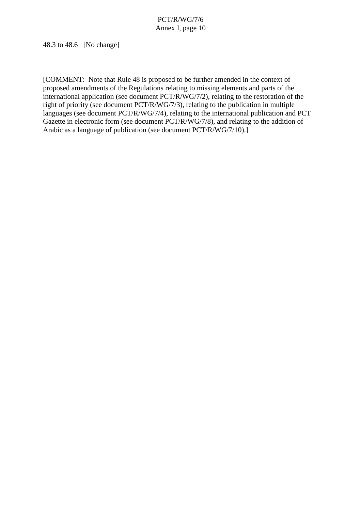#### 48.3 to 48.6 [No change]

[COMMENT:Note that Rule 48 is proposed to be further amended in the context of proposed amendments of the Regulations relating to missing elements and parts of the international application (seedocument PCT/R/WG/7/2), relating to the restoration of the  $right of priority (seedocument PCT/R/WG/7/3), relating to the publication in multiple$ languages (seedocument PCT/R/WG/7/4), relating to the international publication and PCT Gazetteinelectronic form (seedocument PCT/R/WG/7/8), and relating to the addition of Arabic as a language of publication (seed ocume  $ntPCT/R/WG/7/10$ ).]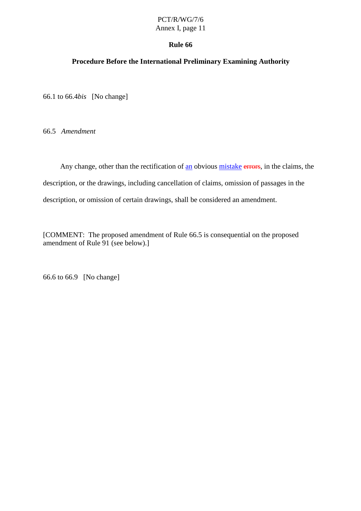#### **Rule 66**

#### **Procedure Before the International Preliminary Examining Authority**

66.1 to 66.4*bis* [No change]

66.5 *Amendment*

Any change, other than the rectification of another our stake errors, in the claims, the description, or the drawings, including cancellation of claims, omission of passages in the description, or omission of certain drawings, shall be considered an amendment.

[COMMENT:The proposed amendment of Rule 66.5 is consequential on the proposed amendment of Rule 91 (see below).]

66.6 to 66.9 [No change]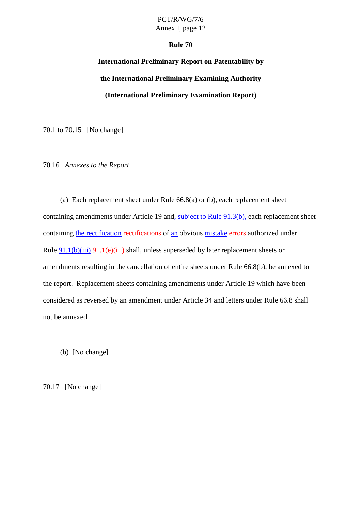#### **Rule 70**

# International Preliminary Report on Patentability by **the International Preliminary Examining Authority (International Preliminary Examination Report)**

70.1to 70.15 [No change]

70.16 *Annexes to the Report*

(a) Each replacements heet under Rule  $66.8(a)$  or  $(b)$ , each replacements heet containing amendments under Article 19 and , subject to Rule 91.3(b), each replacement sheet containing the rectification rectifications of anobvious mistake errors authorized under Rule 91.1(b)(iii) 91.1(e)(iii) shall, unless superseded by later replacements he ets or amendments resulting in the cancellation of entires heets under Rule 66.8(b), be annexed to the report. Replacement sheets containing amendments under Article 19 which have been considered as reversed by an amendment under Article 34 and letters under Rule 66.8 shall not beannexed.

(b) [Nochange]

70.17 [Nochange]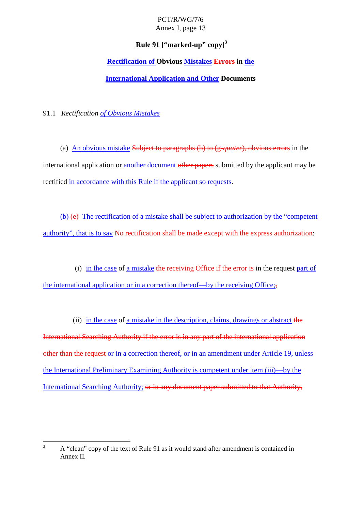### **Rule 91 ["marked -up" copy] <sup>3</sup>**

### **Rectification of Obvious Mistakes Errorsin the**

### **International Appl ication and Other Documents**

91.1 *Rectification of Obvious Mistakes*

(a) **Anobviousmistake** Subjectto paragraphs (b) to (g -*quater*), obvious errors in the international application or another document other papers submitted by the applicant may be rectified in accordance with this Rule if the applicants or equests

(b)  $\left(\text{e}\right)$  The rectification of a mistakes hall be subject to authorization by the "competent" authority", that is to say Norectification shall be made except with the express authorization

(i) in the case of a mistake the receiving Office if the error is in the request part of the international application or in a correction thereof — by the receiving Office; ,

(ii) in the case of a mistake in the description, claims, drawings or abstract the

International Searching Authority if the errorisinany part of the international application other than the request or in a correction thereof, or in an amendment under Article 19, unless the International Preliminary Examining Authority is competent under item (iii) —by the International Searching Authority; orinany document papersub mitted to that Authority,

<sup>&</sup>lt;sup>3</sup> A "clean" copy of the text of Rule 91 as it would stand after amendment is contained in Annex II.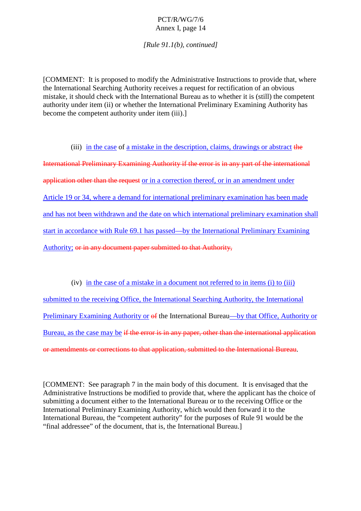*[Rule 91.1(b), continued]*

[COMMENT: It is proposed to modify the Administrative Instructions to provide that, where the International Searching Aut hority receives a request for rectification of an obvious mistake, it should check with the International Bureau as to whether it is (still) the competent authority under item (ii) or whether the International Preliminary Examining Authority has become the competent authority under item (iii).]

(iii) in the case of a mistake in the description, claims, drawings or abstract the International Preliminary Examining Authority if the error is in any part of the international application other than the request  $\sim$  or in a correction thereof, or in an amendment under Article 19 or 34, whereademand for international preliminary examination has been made and has not been withdrawn and the date on which international preliminary examinationshall startinaccordance wi th Rule 69.1 has passed —by the International Preliminary Examining Authority; orinany document papersub mitted to that Authority,

 $(iv)$  in the case of a mistake inadocument not referred to initems  $(i)$  to  $(iii)$ submitted to the receiving Office, the International Searching Authority, the International Preliminary Examining Authority or  $\theta$  of the International Bureau —by that Office, Authority or Bureau, as the case may be if the errorisinany paper, other than the international application or amendments o reorrections to that application, submitted to the International Bureau  $\qquad$ .

[COMMENT: See paragraph 7 in the main body of this document. It is envisaged that the Administrative Instructions be modified to provide that, where the applicant has the choice of submitting a document either to the International Bureau or to the receiving Office or the International Preliminary Examining Authority, which would then forward it to the International Bureau, the "competent a uthority" for the purposes of Rule 91 would be the "final addressee" of the document, that is, the International Bureau.]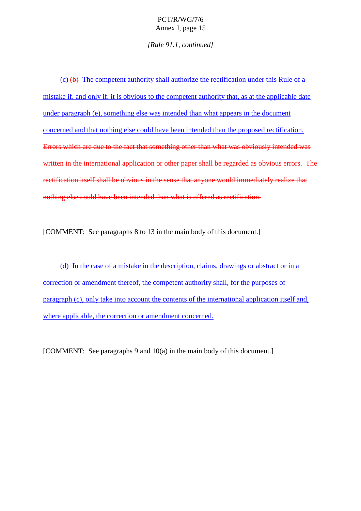#### *[Rule 91.1, continued]*

 $(c)$   $(b)$  The competent authority shall authorize the rectification under this Rule of a mistake if, and only i f, it is obvious to the competent authority that, as at the applicable date under paragraph (e), something else was intended than what appears in the document concerned and that nothing else could have been intended than the proposed rectification. Errors which are due to the fact that some thing other than what was obviously intended was written in the international application or other papershall be regarded as obvious errors. The rectificationitselfshall be obvious in the sense that anyone would imme diately realize that nothing else could have been intended than what is offer edas rectification.

[COMMENT:Seeparagraphs 8to 13inthemainbody of this document.]

(d) In the case of a mistake in the description, claims, drawings or abstract or in a correction or amendment thereof, the competent authority shall, for the purposes of paragraph (c), only take into account the contents of the international application itself and, where applicable, the correction or amendment concerned.

[COMMENT:Seeparagraphs 9 and 10(a) in the main body of this document.]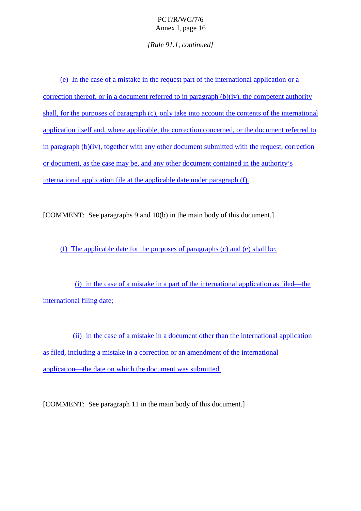*[Rule 91.1, continued]*

(e) In the case of a mistake in the request part of the international application or a  $correction thereof, or in a document referred to in paragraph (b) (iv), the competent authority$ shall, for the purposes of paragraph (c), only take into account the conte nts of the international application itself and, where applicable, the correction concerned, or the document referred to in paragraph (b)(iv), together with any other documents ubmitted with the request, correction or document, as the case may be, and any other document contained in the authority's  $intermational application file at the applicable date under paragraph(f).$ 

[COMMENT:Seeparagraphs 9 and 10(b) in the main body of this document.]

(f) The applicable date for the purposes of paragraphs  $(c)$  and  $(e)$  shall be:

(i) in the case of a mistake in a part of the international application as filed —the international filing date;

(ii) inthe case of a mistake in a doc ument other than the international application as filed, including a mistake in a correction or an amendment of the international application—the date on which the document was submitted.

[COMMENT:Seeparagraph 11inthemainbody of this document.]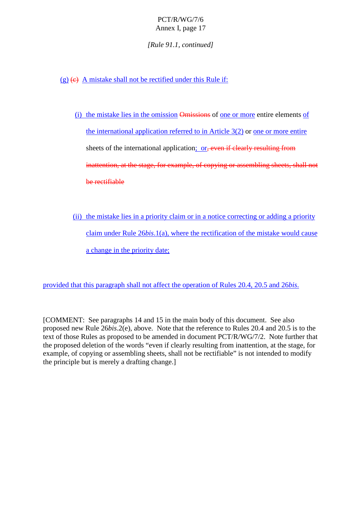*[Rule 91.1, continued]*

 $(g)$  (e) Amistake shall not be rectified under this Rule if:

(i) the mistake lies in the omission Omissions of one or more entire elements of the international application referred to in Art icle  $3(2)$  or one or more entire sheets of the international application ; or , even if clearly resulting from  $$ inattention, at the stage, for example, of copying or assembling sheets, shall not **berectifiable** 

(ii) the mistake lies in a priority claim or in a produce correcting or adding a priority claim under Rule 26*bis*.1(a), where the rectification of the mistake would cause a change in the priority date;

provided that this paragraph shall not affect the operation of Rules 20.4, 20.5 and 26 *bis*.

[COMMENT:Se eparagraphs 14 and 15 in the main body of this document. See also proposed new Rule 26*bis*.2(e), above. Note that the reference to Rules 20.4 and 20.5 is to the text of those Rules as proposed to be amended indocument PCT/R/WG/7/2. Note further that the proposed deletion of the words " even if clearly resulting from inattention, at the stage, for example, of copying or assembling sheets, shall not be rectifiable "is n otintended to modify the principle but is merely a drafting change.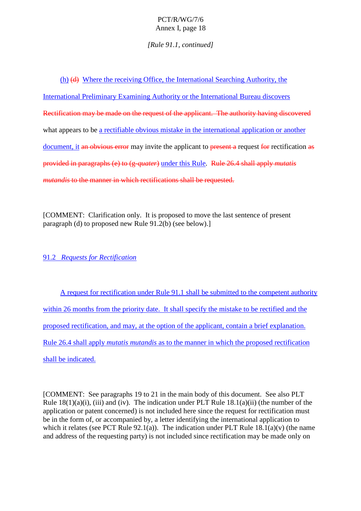*[Rule 91.1, continued]*

 $(h)$   $(d)$  Where the receiving Office, the International Searching Authority, the International Preliminary Examining Authority or the International Bureau discover s Rectification may be made on the request of the applicant. The authority having discovered what appears to be are ctifiable obvious mistake in the international application or another document, it an obvious error may invite the applicant to present a r equest for rectification as provided in paragraphs (e) to (g-quater) under this Rule . Rule 26.4 shall apply *mutatis mutandis* to the manner in which rectifications shall be requested.

[COMMENT: Clarification only. It is proposed to move the last sentence of present  $para graph (d) to propose dnew Rule 91.2(b) (see below).$ ]

91.2 *Requests for Rectification*

A request for rectification under Rule 91.1 shall be submitted to the competent authority within 26 months from the priority date. It shalls pecify the mistake to be rectified and the proposed rectification, and may, at the option of the applicant, containabrief explanation. Rule 26.4 shall apply *mutatis mutandis* as to the manner in which the proposed rectification shall beindicated.

[COMMENT: Seep aragraphs 19to 21 in the main body of this document. See also PLT Rule  $18(1)(a)(i)$ , (iii) and (iv). The indication under PLT Rule  $18.1(a)(ii)$  (the number of the application or patent concerned) is not included here since the request for rectification must be in the form of, or accompanied by, a letter identifying the international application to which it relates (see PCT Rule 92.1(a)). The indication under PLT Rule 18.1(a)(v) (the name and address of the requesting party) is not included since rectification may be made only on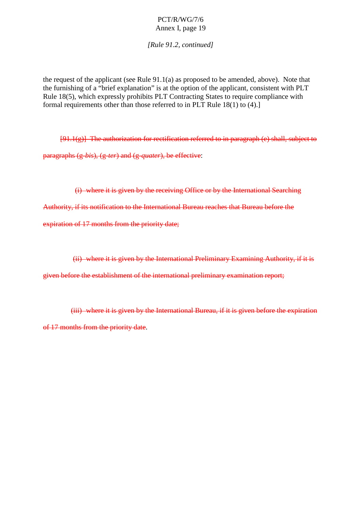*[Rule 91.2, continued]*

the request of the applicant (see Rule 91.1(a) as proposed to be amended, above). Note that the furnishing of a "brief explanation" is at the option of the applicant, consistent with PLT Rule 18(5), which expressly prohibits PLT Contracting States to require compliance with formal requirements other than those referred to in PLT Rule 18(1) to (4).]

 $[91.1(g)]$  The authori zation for rectification referred to inparagraph (e) shall, subject to paragraphs (g -*bis*), (g -*ter*) and (g -*quater*), be effective :

(i) whereitisgiven by the receiving Office or by the International Searching

Authority, if its notification to the Interna tional Bureau reaches that Bureau before the

expiration of 17 months from the priority date;

(ii) whereitisgiven by the International Preliminary Examining Authority, if it is

given before the establishment of the international preliminary examination report;

(iii) where it is given by the International Bureau, if it is given before the expiration of 17 months from the priority date ...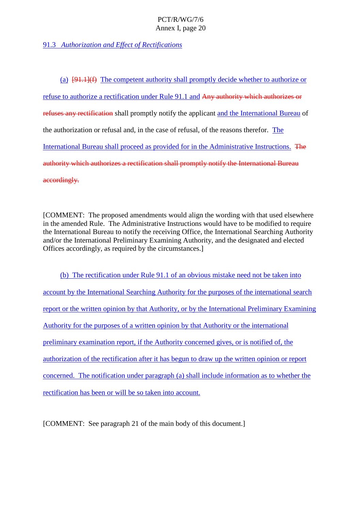91.3 *Authorization and Effect of Rectifications*

(a)  $[91,1]$ (f) The competent authority shall promptly decide whethe rto authorize or refuseto authorize are ctification under Rule 91.1 and Any authority which authorizes or refuses any rectification shall promptly notify the applicant and the International Bureau of the authorization or refusal and, in the case of refus al, of the reasons therefor. The International Bureau shall proceed as provided for in the Administrative Instructions. The authority which authorizes are ctificationshall promptly notify the International Bureau accordingly.

[COMMENT: The proposed ame ndments would align the wording with that used elsewhere in the amended Rule. The Administrative Instructions would have to be modified to require the International Bureau to notify the receiving Office, the International Searching Authority and/ortheIn ternationalPreliminaryExaminingAuthority, and the designated and elected Offices accordingly, as required by the circumstances.]

(b) The rectification under Rule 91.1 of an obvious mistake need not be taken into account by the International Searching Authority for the purposes of the international search report or the written opinion by that Authority, or by the International Preliminary Examining Authority for the purposes of a written opinion by that Authority or the international preliminary examina tion report, if the Authority concerned gives, or is notified of, the authorization of the rectification after it has begun to draw up the written opinion or report  $\alpha$  concerned. The notification under paragraph (a) shall include information as to whether the e rectification has been or will be so taken into account.

[COMMENT:Seeparagraph 21 of the main body of this document.]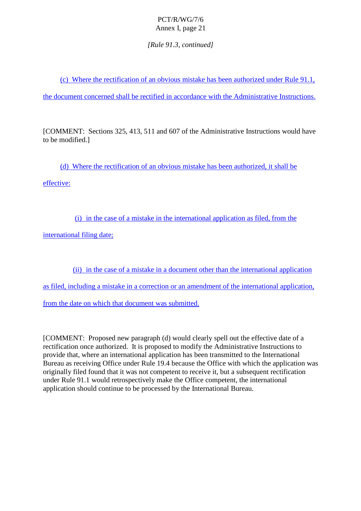### *[Rule 91.3, continued]*

(c) Where the rectification of an obvious mistake has been autho rized under Rule 91.1,

the document concerned shall be rectified in accordance with the Administrative Instructions.

[COMMENT: Sections 325, 413, 511 and 607 of the Administrative Instructions would have to be modified.]

(d) Where the rectification of a nobvious mistake has been authorized, it shall be

effective:

(i) in the case of a mistake in the international application as filed, from the

international filing date;

(ii) in the case of a mistake inadocument other than the international application

as filed, including a mistake in a correction or an amendment of the international application,

from the date on which that document was submitted.

[COMMENT:Proposednewparagraph(d)would clearly spell out the effective date of a rectification once au thorized. It is proposed to modify the Administrative Instructions to provide that, where an international application has been transmitted to the International Bureau as receiving Office under Rule 19.4 because the Office with which the application was originally filed found that it was not competent to receive it, but as ubsequent rectification underRule91.1 would retrospectively make the Office competent, the international application should continue to be processed by the International Bureau.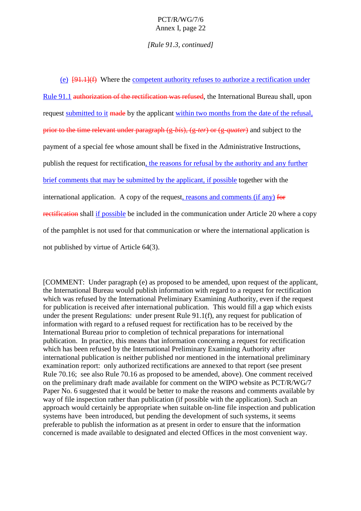*[Rule 91.3, continued]*

(e)  $[91.1](f)$  Where the competent authority refuses to authorize a rectification under Rule 91.1 authorization of the rectification was refused , the International Bureau shall, upon request submitted to it made by the applicant within t wo months from the date of the refusal, priortothe time relevant under paragraph (g *-bis*), (g -*ter*) or (g-*quater*) and subject to the payment of a special fee whose amount shall be fixed in the Administrative Instructions, publish the request for rectificat ion, the reasons for refusal by the authority and any further brief comments that may be submitted by the applicant, if possible together with the international application. A copy of the request reasons and comments (if any) for rectification shall if p ossible beincluded in the communication under Article 20 where a copy of the pamphletis not used for that communication or where the international application is not published by virtue of Article  $64(3)$ .

[COMMENT: Under paragraph (e) as proposed to be a mended, upon request of the applicant, the International Bureau would publish information with regard to a request for rectification which was refused by the International Preliminary Examining Authority, even if the request for publication is received aft er international publication. This would fill a gap which exists under the present Regulations: under present Rule 91.1(f), any request for publication of information with regard to a refuse drequest for rectification has to be received by the International Bureau prior to completion of technical preparations for international publication. In practice, this means that information concerning a request for rectification which has been refused by the International Preliminary Examining Authority after international publication is neither published normentioned in the international preliminary examination report: only authorized rectifications are annexed to that report (see present Rule 70.16; see also Rule 70.16 as proposed to be amended, above). One comment received on the preliminary draft made available for comment on the WIPO website as PCT/R/WG/7 Paper No. 6 suggested that it would be better to make the reasons and comments available by way of file inspection rather than publication (if possible with the application). Such an approach would certainly be appropriate when suitable on -line file inspection and publication systems have been introduced, but pending the development of such systems, it seems preferable to publish the information as at presen tinor derto ensure that the information concerned is made available to designated and elected Offices in the most convenient way.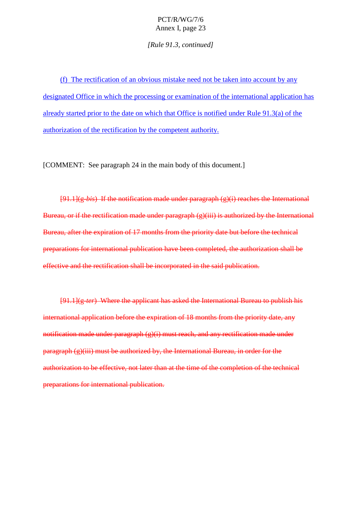*[Rule 91.3, continued]*

(f) The rectification of an obvious mistake need not be taken into account by any designated Office in which the processing or examination of the international application has already started prior to the date on which that Office is notified under Rule 91.3(a) of the authorization of the rectification by the competent authority.

[COMMENT: See paragrap h 24 in the main body of this document.]

[91.1](g-*bis*) If the notification made under paragraph (g)(i) reaches the International  $Bureau, or if there edition made under paragraph(g)(iii) is authorized by the  $ethamian$$ Bureau, after the expiration of 17 months from the priority date but before the technical preparations for international publication have been completed, the authorization shall be effective and the rectification shall be incorporated in the esaid publication.

[91.1](g-*ter*) Where the applicant has asked the International Bureau to publish his international application before the expiration of 18 months from the priority date, any notification made under paragraph (g)(i) must reach, and any rectification made under $paragnh(g)(iii) must be authorized by, the International Bureau, in order for the$ authorization to be effective, not later than at the time of the completion of the technical preparations for international publication.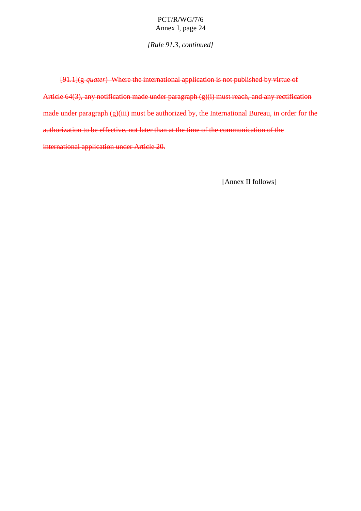*[Rule 91. 3, continued]*

[91.1](g-*quater*) Where the international application is not published by virtue of  $\overline{\phantom{a}}$ Article 64(3), any notification made under paragraph (g)(i) must reach, and any rectification made under paragraph(g)(iii) must be authorized by, the Intern ational Bureau, in order for the authorization to be effective, not later than at the time of the communication of the international application under Article 20.

[Annex II follows]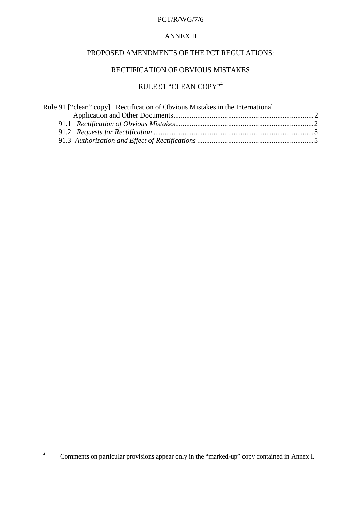#### PCT/R/WG/7/6

### **ANNEXII**

### PROPOSED AMENDMENTS OF THE PCTREGULATIONS:

### RECTIFICATION OF O BVIOUS MISTAKES

# $\,$  RULE91<br>"CLEANCOPY"  $^{-4}$

## Rule 91 ["clean" copy] Rectification of Obvious Mistakes in the International

<sup>4</sup> Comments on particular provisions appear only in the "marked -up" copy contained in Annex I.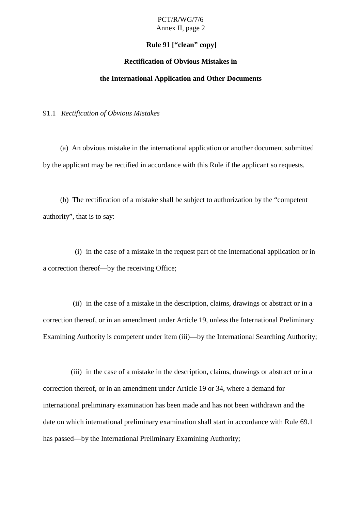# PCT/R/WG/7/6

### Annex II, page 2

#### **Rule 91 ["clean" copy]**

#### **Rectification of Obvious Mis** takes in

#### **the International Application and Other Documents**

91.1 *Rectification of Obvious Mistakes*

(a) Anobvious mistake in the international application or another documents ubmitted by the applicant may be rectified in accordance with this Rule if the eapplicant so requests.

(b) The rectification of a mistakeshall be subject to authorization by the "competent" authority", that is to say:

(i) in the case of a mistake in the request part of the international application or in acorrection thereof —by the receiving Office;

(ii) in the case of a mistake in the description, claims, drawings or abstract or in a correction thereof, orinanamendment under Article 19, unless the International Preliminary Examining Authority is competent under item (iii) — by the International Searching Authority;

(iii) in the case of a mistake in the description, claims, drawings or abstract or in a correction thereof, orinanamendment under Article 19 or 34, where a demand for international preliminary examination has been made and has not been withdrawn and the date on which international preliminary examinations hall start in accordance with Rule 69.1 has passed —by the International Preliminary Examining Authority;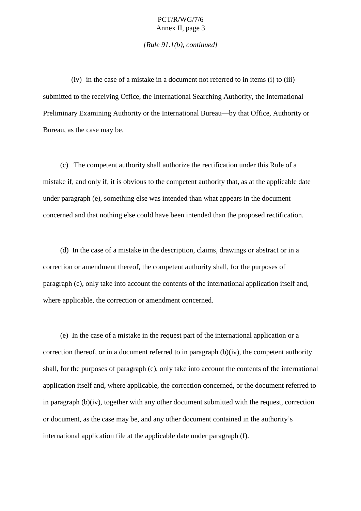*[Rule 91.1(b), continued]*

 $(iv)$  in the case of a mistake inadocument not referred to initems  $(i)$  to  $(iii)$ submitted to the receiving Office, the International Searching Authority, the International Preliminary Examining Authority or the International Bureau —by that Office, Authority or Bureau, as the case may be.

(c) The competent authority shall authorize the rectification under this Rule of a mistake if, and only if, it is obvious to the competent authority that, as at the applicable date under paragraph (e), something else was intended than what appears in the document concerned and that nothing else could have been intended than the proposed rectification.

(d) In the case of a mistake in the description, claims, drawings or abstract or in a correction or amendment thereof, the competent authority shall , for the purposes of paragraph (c), only take into account the contents of the international application itself and, where applicable, the correction or amendment concerned.

(e) In the case of a mistake in the request part of the international application on or a  $correction thereof, or in a document referred to in paragraph (b) (iv), the competent authority$ shall, for the purposes of paragraph (c), only take into account the contents of the international application itself and, where applicable, the correction concerned, or the document referred to in paragraph (b)(iv), together with any other documents ubmitted with the request, correction or document, as the case may be, and any other document contained in the authority's  $intermational application file att he applied at the sample data and the parameter path (f).$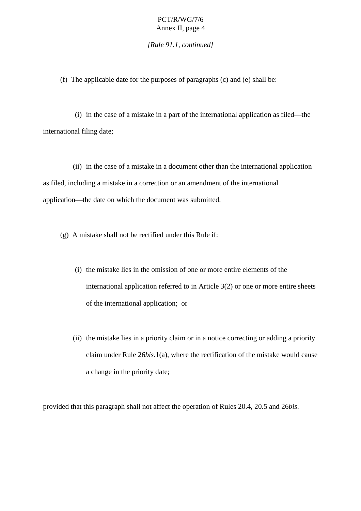#### *[Rule 91.1, continued]*

(f) The applicable date for the purposes of paragraphs  $(c)$  and  $(e)$  shall be:

(i) in the case of a mistake in a part of the international application as filed —the international filing date;

(ii) in the case of a mistake in a document other than the international application as filed, including a mistake in a correction or an amendment of the international application—the date on which the document was submitted.

 $(g)$  Amistake shall not be r ectified under this Rule if:

- (i) the mistake lies in the omission of one or more entire elements of the international application referred to in Article 3(2) or one or more entire sheets of the international application; or
- (ii) the mistake lies in a properties in a properties in a properties in a priority of the mistake lies in a priority claim under Rule 26*bis*.1(a), where the rectification of the mistake would cause a change in the priority date;

provided that this paragraph shall not affect the operation of Rules 20.4, 20.5 and 2 6*bis*.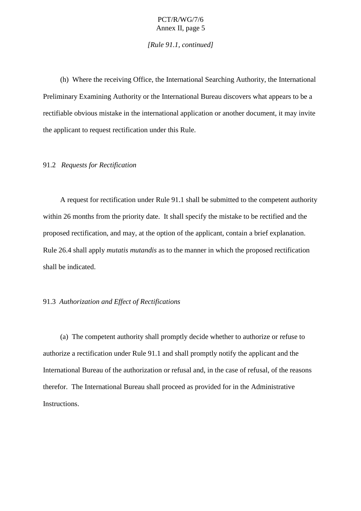*[Rule 91.1, continued]*

(h) Where the receiving Office, the International Searching Authority, the International Preliminary Examining Authority or the International Bureau discovers what appears to be a rectifiable obvious mistake in the internatio nal application or another document, it may invite the applicant to request rectification under this Rule.

#### 91.2 *Requests for Rectification*

A request for rectification under Rule 91.1 shall be submitted to the competent authority within 26 months from the epriority date. It shalls pecify the mistake to be rectified and the proposed rectification, and may, at the option of the applicant, containabrief explanation. Rule 26.4 shall apply *mutatis mutandis* as to the manner in which the proposed rectificatio n shall beindicated.

#### 91.3 Authorization and Effect of Rectifications

(a) The competent authority shall promptly decide whether to authorize or refuse to authorize arectification under Rule 91.1 and shall promptly notify the applicant and the International Bureau of the authorization or refusal and, in the case of refusal, of the reasons therefor. The International Bureau shall proceed as provided for in the Administrative Instructions.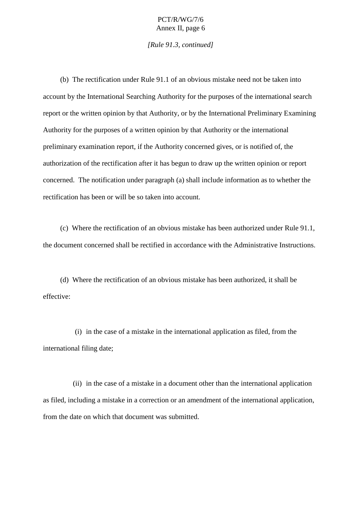*[Rule 91.3, continued]*

(b) The rectification under Rule 91.1 of an obvious mistake need not be taken into account by the International Searching Authority for the purposes of the international search report or the written opinion by that Authority, or by the International Preliminary Examining Authority for the purpose sof a written opinion by that Authority or the international preliminary examination report, if the Authority concerned gives, or is notified of, the authorization of the rectification after it has begun to draw up the written opinion or report concerned. The notification under paragraph (a) shall include information as to whether the rectification has been or will be so taken into account.

(c) Where the rectification of an obvious mistake has been authorized under Rule 91.1, the document concerned shal l be rectified in accordance with the Administrative Instructions.

(d) Where the rectification of an obvious mistake has been authorized, it shall be effective:

(i) in the case of a mistake in the international application as filed, from the international filing date;

(ii) in the case of a mistake inadocument other than the international application as filed, including a mistake in a correction or an amendment of the international application, from the date on which that document was submitted.